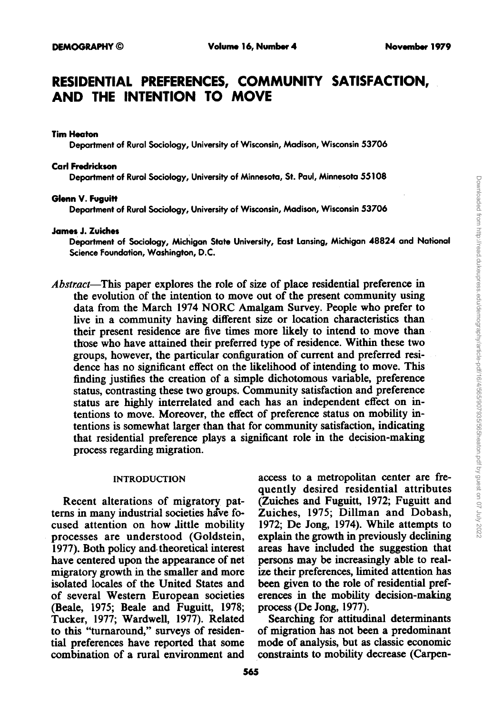# **RESIDENTIAL PREFERENCES, COMMUNITY SATISFACTION, AND THE INTENTION TO MOVE**

## **Tim Heaton**

Department of Rural Sociology, Universityof Wisconsin, Madison, Wisconsin 53706

### **CarlFredrickson**

Department of Rural Sociology, Universityof Minnesota, St. Paul, Minnesota 55108

## **Glenn V. Fuguitt**

Department of Rural Sociology, Universityof Wisconsin, Madison, Wisconsin 53706

## **JamesJ. Zuiches**

Department of Sociology, Michigan State University, East Lansing, Michigan 48824 and National Science Foundation, Washington, D.C.

*Abstract*—This paper explores the role of size of place residential preference in the evolution of the intention to move out of the present community using data from the March 1974 NORC Amalgam Survey. People who prefer to live in a community having different size or location characteristics than their present residence are five times more likely to intend to move than those who have attained their preferred type of residence. Within these two groups, however, the particular configuration of current and preferred residence has no significant effect on the likelihood of intending to move. This finding justifies the creation of a simple dichotomous variable, preference status, contrasting these two groups. Community satisfaction and preference status are highly interrelated and each has an independent effect on intentions to move. Moreover, the effect of preference status on mobility intentions is somewhat larger than that for community satisfaction, indicating that residential preference plays a significant role in the decision-making process regarding migration.

terns in many industrial societies have fo- Zuiches, 1975; Dillman and Dobash, cused attention on how little mobility 1972; De Jong, 1974). While attempts to cused attention on how little mobility 1972; De Jong, 1974). While attempts to processes are understood (Goldstein, explain the growth in previously declining processes are understood (Goldstein, explain the growth in previously declining 1977). Both policy and theoretical interest areas have included the suggestion that 1977). Both policy and theoretical interest have centered upon the appearance of net persons may be increasingly able to realmigratory growth in the smaller and more ize their preferences, limited attention has isolated locales of the United States and been given to the role of residential prefof several Western European societies erences in the mobility decision-making (Beale, 1975; Beale and Fuguitt, 1978; process (De Jong, 1977). (Beale, 1975; Beale and Fuguitt, 1978; process (De Jong, 1977).<br>Tucker, 1977; Wardwell, 1977). Related Searching for attitudinal determinants Tucker, 1977; Wardwell, 1977). Related Searching for attitudinal determinants to this "turnaround." surveys of residen- of migration has not been a predominant to this "turnaround," surveys of residential preferences have reported that some mode of analysis, but as classic economic combination of a rural environment and constraints to mobility decrease (Carpen-

INTRODUCTION access to a metropolitan center are frequently desired residential attributes Recent alterations of migratory pat- (Zuiches and Fuguitt, 1972; Fuguitt and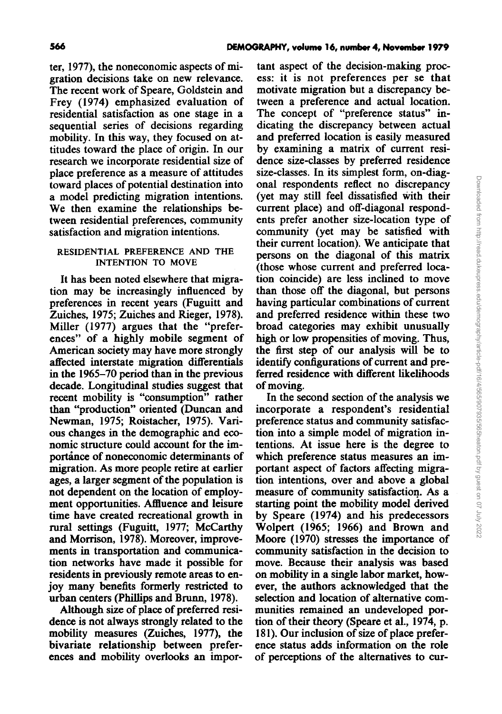ter, 1977), the noneconomic aspects of migration decisions take on new relevance. The recent work of Speare, Goldstein and Frey (1974) emphasized evaluation of residential satisfaction as one stage in a sequential series of decisions regarding mobility. In this way, they focused on attitudes toward the place of origin. In our research we incorporate residential size of place preference as a measure of attitudes toward places of potential destination into a model predicting migration intentions. We then examine the relationships between residential preferences, community satisfaction and migration intentions.

## RESIDENTIAL PREFERENCE AND THE INTENTION TO MOVE

It has been noted elsewhere that migration may be increasingly influenced by preferences in recent years (Fuguitt and Zuiches, 1975; Zuiches and Rieger, 1978). Miller (1977) argues that the "preferences" of a highly mobile segment of American society may have more strongly affected interstate migration differentials in the 1965-70 period than in the previous decade. Longitudinal studies suggest that recent mobility is "consumption" rather than "production" oriented (Duncan and Newman, 1975; Roistacher, 1975). Various changes in the demographic and economic structure could account for the importance of noneconomic determinants of migration. As more people retire at earlier ages, a larger segment of the population is not dependent on the location of employment opportunities. Affluence and leisure time have created recreational growth in rural settings (Fuguitt, 1977; McCarthy and Morrison, 1978). Moreover, improvements in transportation and communication networks have made it possible for residents in previously remote areas to enjoy many benefits formerly restricted to urban centers (Phillips and Brunn, 1978).

Although size of place of preferred residence is not always strongly related to the mobility measures (Zuiches, 1977), the bivariate relationship between preferences and mobility overlooks an impor-

tant aspect of the decision-making process: it is not preferences per se that motivate migration but a discrepancy between a preference and actual location. The concept of "preference status" indicating the discrepancy between actual and preferred location is easily measured by examining a matrix of current residence size-classes by preferred residence size-classes. In its simplest form, on-diagonal respondents reflect no discrepancy (yet may still feel dissatisfied with their current place) and off-diagonal respondents prefer another size-location type of community (yet may be satisfied with their current location). We anticipate that persons on the diagonal of this matrix (those whose current and preferred location coincide) are less inclined to move than those off the diagonal, but persons having particular combinations of current and preferred residence within these two broad categories may exhibit unusually high or low propensities of moving. Thus, the first step of our analysis will be to identify configurations of current and preferred residence with different likelihoods of moving.

In the second section of the analysis we incorporate a respondent's residential preference status and community satisfaction into a simple model of migration intentions. At issue here is the degree to which preference status measures an important aspect of factors affecting migration intentions, over and above a global measure of community satisfaction. As a starting point the mobility model derived by Speare (1974) and his predecessors Wolpert (1965; 1966) and Brown and Moore (1970) stresses the importance of community satisfaction in the decision to move. Because their analysis was based on mobility in a single labor market, however, the authors acknowledged that the selection and location of alternative communities remained an undeveloped portion of their theory (Speare et al., 1974, p. 181). Our inclusion of size of place preference status adds information on the role of perceptions of the alternatives to cur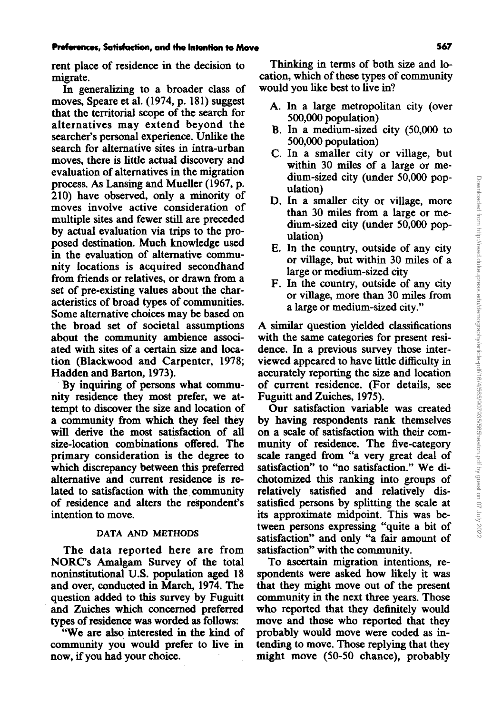rent place of residence in the decision to migrate.

In generalizing to a broader class of moves, Speare et al. (1974, p. 181) suggest that the territorial scope of the search for alternatives may extend beyond the searcher's personal experience. Unlike the search for alternative sites in intra-urban moves, there is little actual discovery and evaluation of alternatives in the migration process. As Lansing and Mueller (1967, p. 210) have observed, only a minority of moves involve active consideration of multiple sites and fewer still are preceded by actual evaluation via trips to the proposed destination. Much knowledge used in the evaluation of alternative community locations is acquired secondhand from friends or relatives, or drawn from a set of pre-existing values about the characteristics of broad types of communities. Some alternative choices may be based on the broad set of societal assumptions about the community ambience associated with sites of a certain size and location (Blackwood and Carpenter, 1978; Hadden and Barton, 1973).

By inquiring of persons what community residence they most prefer, we attempt to discover the size and location of a community from which they feel they will derive the most satisfaction of all size-location combinations offered. The primary consideration is the degree to which discrepancy between this preferred alternative and current residence is related to satisfaction with the community of residence and alters the respondent's intention to move.

## DATA AND METHODS

The data reported here are from NORC's Amalgam Survey of the total noninstitutional U.S. population aged 18 and over, conducted in March, 1974. The question added to this survey by Fuguitt and Zuiches which concerned preferred types of residence was worded as follows:

"We are also interested in the kind of community you would prefer to live in now, if you had your choice.

Thinking in terms of both size and location, which of these types of community would you like best to live in?

- A. In a large metropolitan city (over 500,000 population)
- B. In a medium-sized city (50,000 to 500,000 population)
- C. In a smaller city or village, but within 30 miles of a large or medium-sized city (under 50,000 population)
- D. In a smaller city or village, more than 30 miles from a large or medium-sized city (under 50,000 population)
- E. In the country, outside of any city or village, but within 30 miles of a large or medium-sized city
- F. In the country, outside of any city or village, more than 30 miles from a large or medium-sized city."

A similar question yielded classifications with the same categories for present residence. In a previous survey those interviewed appeared to have little difficulty in accurately reporting the size and location of current residence. (For details, see Fuguitt and Zuiches, 1975).

Our satisfaction variable was created by having respondents rank themselves on a scale of satisfaction with their community of residence. The five-category scale ranged from "a very great deal of satisfaction" to "no satisfaction." We dichotomized this ranking into groups of relatively satisfied and relatively dissatisfied persons by splitting the scale at its approximate midpoint. This was between persons expressing "quite a bit of satisfaction" and only "a fair amount of satisfaction" with the community.

To ascertain migration intentions, respondents were asked how likely it was that they might move out of the present community in the next three years. Those who reported that they definitely would move and those who reported that they probably would move were coded as intending to move. Those replying that they might move (50-50 chance), probably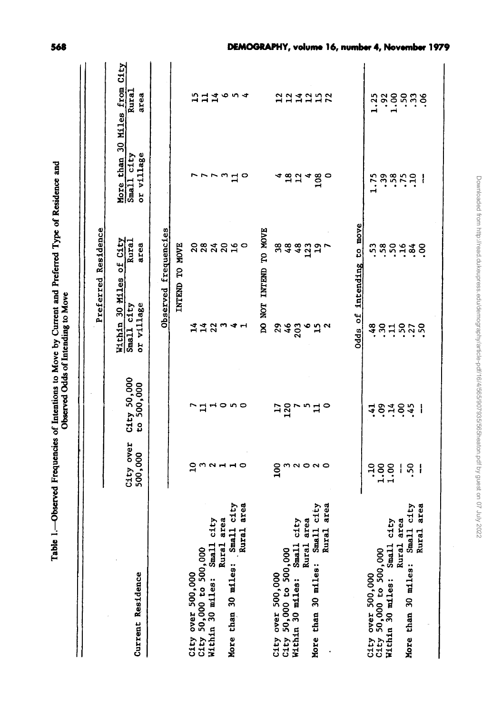| S<br>8 |
|--------|
|        |
|        |
|        |
|        |
|        |
|        |
|        |
|        |
|        |
|        |
|        |
|        |
|        |
|        |
|        |
|        |
|        |
|        |
|        |
|        |
|        |
|        |
|        |
|        |
|        |
| j      |
|        |

|                                                                                                           |                                                                                                             |                             |                                                     | Preferred Residence   |                          |                                                      |                                               |
|-----------------------------------------------------------------------------------------------------------|-------------------------------------------------------------------------------------------------------------|-----------------------------|-----------------------------------------------------|-----------------------|--------------------------|------------------------------------------------------|-----------------------------------------------|
| Current Residence                                                                                         | City over<br>500,000                                                                                        | City $50,000$<br>to 500,000 | Within 30 Miles of City<br>Small city<br>or village | <b>Rural</b><br>area  | or village<br>Small city | More than 30 Miles from City<br><b>Rural</b><br>area |                                               |
|                                                                                                           |                                                                                                             |                             |                                                     | Observed frequencies  |                          |                                                      |                                               |
|                                                                                                           |                                                                                                             |                             |                                                     | INTEND TO MOVE        |                          |                                                      |                                               |
| City 50,000 to 500,000<br>City over 500,000                                                               | $\mathbf{a}$                                                                                                |                             |                                                     | ន                     |                          | ₽                                                    |                                               |
|                                                                                                           |                                                                                                             | $\mathbf{H}$ 4050           | <b>112</b>                                          | 232                   | <b>77</b>                | 740                                                  |                                               |
| Within 30 miles: Small city<br>Rural area                                                                 |                                                                                                             |                             | m                                                   |                       |                          |                                                      |                                               |
| More than 30 miles: Small city<br>Rural area                                                              |                                                                                                             |                             |                                                     |                       | ື່ສ                      |                                                      |                                               |
|                                                                                                           |                                                                                                             |                             | ◅⊣                                                  | $\frac{6}{10}$        |                          | $v \rightarrow$                                      |                                               |
|                                                                                                           |                                                                                                             |                             |                                                     | DO NOT INTEND TO MOVE |                          |                                                      |                                               |
| City over 500,000<br>City 50,000 to 500,000<br>Within 30 miles: Small                                     | $\frac{8}{1}$                                                                                               | $\mathbf{H}$                | $\mathbf{29}$                                       | 38                    | ⊄                        |                                                      |                                               |
|                                                                                                           |                                                                                                             | 120                         |                                                     |                       |                          | 223222                                               |                                               |
| Small city<br>Rural area                                                                                  | $\begin{array}{c} \mathbf{1} & \mathbf{0} & \mathbf{0} \\ \mathbf{0} & \mathbf{0} & \mathbf{0} \end{array}$ |                             | $46$<br>203                                         | 48419                 | $\frac{3}{12}$           |                                                      |                                               |
|                                                                                                           |                                                                                                             |                             |                                                     |                       |                          |                                                      |                                               |
| More than 30 miles: Small city<br>Rural area                                                              |                                                                                                             | ້າສິ                        | $\mathfrak{a}$                                      |                       | $\frac{8}{10}$           |                                                      |                                               |
|                                                                                                           |                                                                                                             |                             | $\sim$                                              |                       |                          |                                                      |                                               |
|                                                                                                           |                                                                                                             |                             | Odds of intending                                   | to move               |                          |                                                      | DEMOGRAPHY, volume 16, number 4, November 197 |
| City over 500,000<br>City 50,000 to 500,000<br>Within 30 miles: Small city<br>Within 30 miles: Small area | ្ម                                                                                                          | 41                          | .48                                                 |                       | 1.75                     | 1.25                                                 |                                               |
|                                                                                                           | $1.00$<br>$1.00$                                                                                            | 5154                        |                                                     |                       | $\ddot{.}$               |                                                      |                                               |
|                                                                                                           |                                                                                                             |                             |                                                     |                       |                          |                                                      |                                               |
|                                                                                                           | $\mathbf{I}$                                                                                                |                             |                                                     |                       |                          |                                                      |                                               |
| More than 30 miles: Small city<br>Rural area                                                              | $\frac{50}{1}$                                                                                              |                             | siggs?                                              | nggaas                | 58,72                    | 3.88938                                              |                                               |
|                                                                                                           |                                                                                                             | J                           |                                                     |                       | ł                        |                                                      |                                               |
|                                                                                                           |                                                                                                             |                             |                                                     |                       |                          |                                                      |                                               |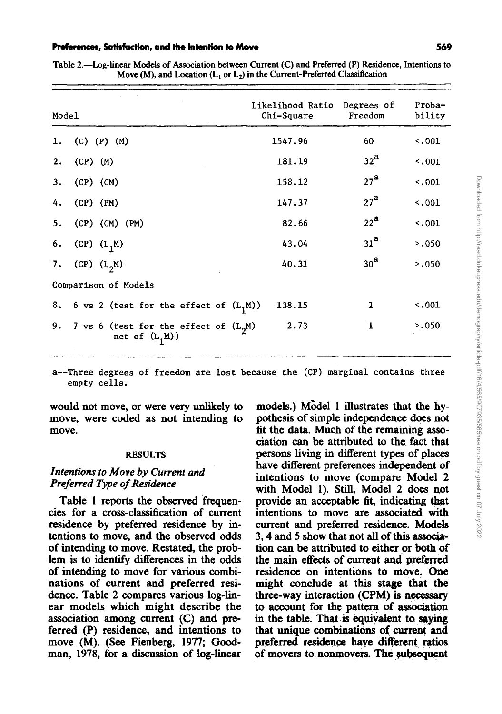#### **Preferences, Satisfaction, and the Intention to Move 569**

| Model |                                                             | Likelihood Ratio<br>Chi-Square | Degrees of<br>Freedom | Proba-<br>bility |
|-------|-------------------------------------------------------------|--------------------------------|-----------------------|------------------|
| ı.    | $(C)$ $(P)$ $(M)$                                           | 1547.96                        | 60                    | $-.001$          |
| 2.    | $(CP)$ (M)                                                  | 181.19                         | 32 <sup>a</sup>       | $\sim 001$       |
| 3.    | $(CP)$ $(CM)$                                               | 158.12                         | 27 <sup>a</sup>       | $\ddotsc 001$    |
| 4.    | $(CP)$ $(PM)$                                               | 147.37                         | 27 <sup>a</sup>       | $\sim 001$       |
| 5.    | $(CP)$ $(CM)$ $(PM)$                                        | 82.66                          | 22 <sup>a</sup>       | $\sim 001$       |
| 6.    | $(CP)$ $(L, M)$                                             | 43.04                          | 31 <sup>a</sup>       | 5.050            |
| 7.    | $(CP)$ $(L_2M)$                                             | 40.31                          | 30 <sup>a</sup>       | 5.050            |
|       | Comparison of Models                                        |                                |                       |                  |
| 8.    | 6 vs 2 (test for the effect of $(L,n)$ )                    | 138.15                         | 1                     | $\ddotsc 001$    |
| 9.    | 7 vs 6 (test for the effect of $(L_2M)$<br>net of $(L_1 M)$ | 2.73                           | 1                     | >.050            |

Table 2.-Log-linear Models of Association between Current (C) and Preferred (P) Residence, Intentions to Move (M), and Location ( $L_1$  or  $L_2$ ) in the Current-Preferred Classification

a--Three degrees of freedom are lost because the (CP) marginal contains three empty cells.

would not move, or were very unlikely to move, were coded as not intending to move.

#### RESULTS

## *Intentions to Move by Current and Preferred Type of Residence*

Table 1 reports the observed frequencies for a cross-classification of current residence by preferred residence by intentions to move, and the observed odds of intending to move. Restated, the problem is to identify differences in the odds of intending to move for various combinations of current and preferred residence. Table 2 compares various log-linear models which might describe the association among current (C) and preferred (P) residence, and intentions to move (M). (See Fienberg, 1977; Goodman, 1978, for a discussion of log-linear

models.) Model 1 illustrates that the hypothesis of simple independence does not fit the data. Much of the remaining association can be attributed to the fact that persons living in different types of places have different preferences independent of intentions to move (compare Model 2 with Model 1). Still, Model 2 does not provide an acceptable fit, indicating that intentions to move are associated with current and preferred residence. Models 3, 4 and 5 show that not all of this association can be attributed to either or both of the main effects of current and preferred residence on intentions to move. One might conclude at this stage that the three-way interaction (CPM) is necessary to account for the pattern of association in the table. That is equivalent to saying that unique combinations of current and preferred residence have different ratios of movers to nonmovers. The subsequent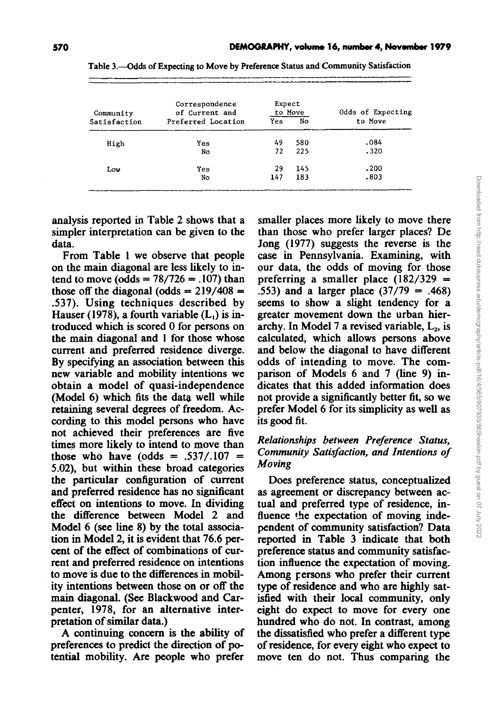| Community<br>Satisfaction | Correspondence<br>of Current and<br>Preferred Location | Expect<br>to Move<br>Yes<br>No |     | Odds of Expecting<br>to Move |  |
|---------------------------|--------------------------------------------------------|--------------------------------|-----|------------------------------|--|
|                           |                                                        |                                |     |                              |  |
| High                      | Yes                                                    | 49                             | 580 | .084                         |  |
|                           | Nο                                                     | 72                             | 225 | .320                         |  |
| Low                       | Yes                                                    | 29                             | 145 | .200                         |  |
|                           | No                                                     | 147                            | 183 | .803                         |  |

Table 3.---Odds of Expecting to Move by Preference Status and Community Satisfaction

analysis reported in Table 2 shows that a simpler interpretation can be given to the data.

From Table 1 we observe that people on the main diagonal are less likely to intend to move (odds =  $78/726 = .107$ ) than those off the diagonal (odds =  $219/408 = .537$ ). Using techniques described by Hauser (1978), a fourth variable  $(L_1)$  is introduced which is scored 0 for persons on the main diagonal and 1 for those whose current and preferred residence diverge. By specifying an association between this new variable and mobility intentions we obtain a model of quasi-independence (Model 6) which fits the data well while retaining several degrees of freedom. According to this model persons who have not achieved their preferences are five times more likely to intend to move than those who have (odds = .537/.107 = 5.02), but within these broad categories the particular configuration of current and preferred residence has no significant effect on intentions to move. In dividing the difference between Model 2 and Model 6 (see line 8) by the total association in Model 2, it is evident that 76.6 percent of the effect of combinations of current and preferred residence on intentions to move is due to the differencesin mobility intentions between those on or off the main diagonal. (See Blackwood and Carpenter, 1978, for an alternative interpretation of similar data.)

A continuing concern is the ability of preferences to predict the direction of p0 tential mobility. Are people who prefer

smaller places more likely to move there than those who prefer larger places? De long (1977) suggests the reverse is the case in Pennsylvania. Examining, with our data, the odds of moving for those preferring a smaller place  $(182/329)$  = .553) and a larger place  $(37/79 = .468)$ seems to show a slight tendency for a greater movement down the urban hierarchy. In Model 7 a revised variable,  $L<sub>2</sub>$ , is calculated, which allows persons above and below the diagonal to have different odds of intending to move. The comparison of Models 6 and 7 (line 9) indicates that this added information does not provide a significantly better fit, so we prefer Model 6 for its simplicity as well as its good fit.

## *Relationships between Preference Status, Community Satisfaction, and Intentions of Moving*

Does preference status, conceptualized as agreement or discrepancy between actual and preferred type of residence, influence the expectation of moving independent of community satisfaction? Data reported in Table 3 indicate that both preference status and community satisfaction influence the expectation of moving. Among persons who prefer their current type of residence and who are highly satisfied with their local community, only eight do expect to move for every one hundred who do not. In contrast, among the dissatisfied who prefer a different type of residence, for every eight who expect to move ten do not. Thus comparing the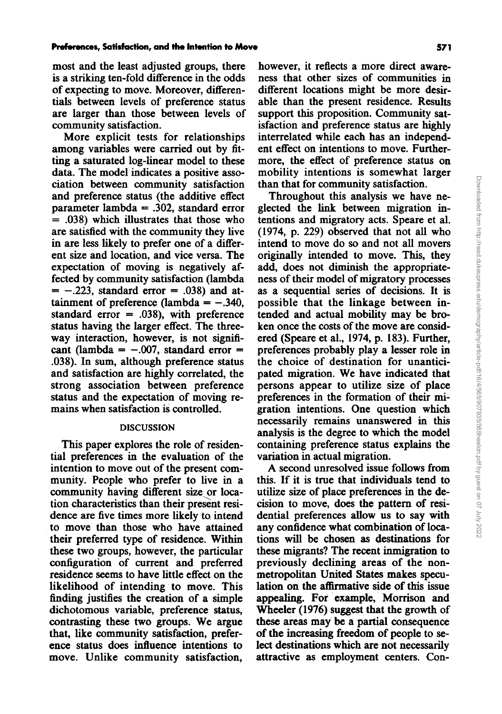## **Preferences, Satisfaction, and the Intention to Move 571**

most and the least adjusted groups, there is a striking ten-fold difference in the odds of expecting to move. Moreover, differentials between levels of preference status are larger than those between levels of community satisfaction.

More explicit tests for relationships among variables were carried out by fitting a saturated log-linear model to these data. The model indicates a positive association between community satisfaction and preference status (the additive effect parameter lambda = .302, standard error = .038) which illustrates that those who are satisfied with the community they live in are less likely to prefer one of a different size and location, and vice versa. The expectation of moving is negatively affected by community satisfaction (lambda  $= -0.223$ , standard error  $= 0.038$ ) and attainment of preference (lambda  $= -0.340$ , standard error  $=$  .038), with preference status having the larger effect. The threeway interaction, however, is not significant (lambda =  $-.007$ , standard error = .038). In sum, although preference status and satisfaction are highly correlated, the strong association between preference status and the expectation of moving remains when satisfaction is controlled.

## DISCUSSION

This paper explores the role of residential preferences in the evaluation of the intention to move out of the present community. People who prefer to live in a community having different size. or location characteristics than their present residence are five times more likely to intend to move than those who have attained their preferred type of residence. Within these two groups, however, the particular configuration of current and preferred residence seems to have little effect on the likelihood of intending to move. This finding justifies the creation of a simple dichotomous variable, preference status, contrasting these two groups. We argue that, like community satisfaction, preference status does influence intentions to move. Unlike community satisfaction,

however, it reflects a more direct awareness that other sizes of communities in different locations might be more desirable than the present residence. Results support this proposition. Community satisfaction and preference status are highly interrelated while each has an independent effect on intentions to move. Furthermore, the effect of preference status on mobility intentions is somewhat larger than that for community satisfaction.

Throughout this analysis we have neglected the link between migration intentions and migratory acts. Speare et al. (1974, p. 229) observed that not all who intend to move do so and not all movers originally intended to move. This, they add, does not diminish the appropriateness of their model of migratory processes as a sequential series of decisions. It is possible that the linkage between intended and actual mobility may be broken once the costs of the move are considered (Speare et aI., 1974, p. 183). Further, preferences probably play a lesser role in the choice of destination for unanticipated migration. We have indicated that persons appear to utilize size of place preferences in the formation of their migration intentions. One question which necessarily remains unanswered in this analysis is the degree to which the model containing preference status explains the variation in actual migration.

A second unresolved issue follows from this. If it is true that individuals tend to utilize size of place preferences in the decision to move, does the pattern of residential preferences allow us to say with any confidence what combination of locations will be chosen as destinations for these migrants? The recent inmigration to previously declining areas of the nonmetropolitan United States makes speculation on the affirmative side of this issue appealing. For example, Morrison and Wheeler (1976) suggest that the growth of these areas may be a partial consequence of the increasing freedom of people to select destinations which are not necessarily attractive as employment centers. Con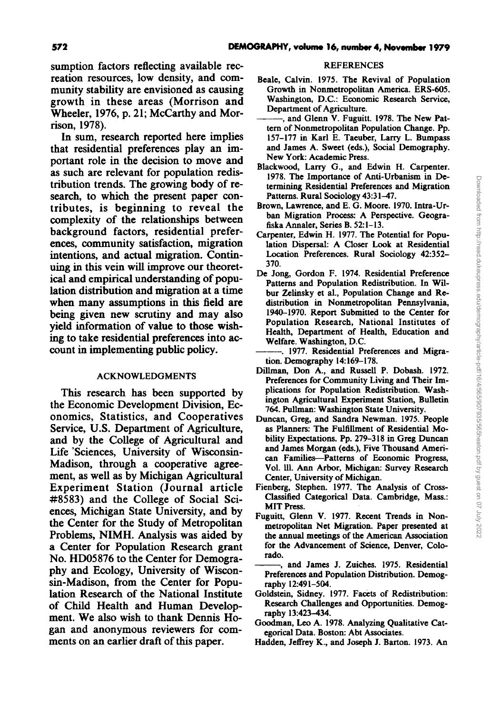sumption factors reflecting available recreation resources, low density, and community stability are envisioned as causing growth in these areas (Morrison and Wheeler, 1976, p. 21; McCarthy and Morrison, 1978).

In sum, research reported here implies that residential preferences play an important role in the decision to move and as such are relevant for population redistribution trends. The growing body of research, to which the present paper contributes, is beginning to reveal the complexity of the relationships between background factors, residential preferences, community satisfaction, migration intentions, and actual migration. Continuing in this vein will improve our theoretical and empirical understanding of population distribution and migration at a time when many assumptions in this field are being given new scrutiny and may also yield information of value to those wishing to take residential preferences into account in implementing public policy.

## ACKNOWLEDGMENTS

This research has been supported by the Economic Development Division, Economics, Statistics, and Cooperatives Service, U.S. Department of Agriculture, and by the College of Agricultural and Life 'Sciences, University of Wisconsin-Madison, through a cooperative agreement, as well as by Michigan Agricultural Experiment Station (Journal article #8583) and the College of Social Sciences, Michigan State University, and by the Center for the Study of Metropolitan Problems, NIMH. Analysis was aided by a Center for Population Research grant No. HD05876 to the Center for Demography and Ecology, University of Wisconsin-Madison, from the Center for Population Research of the National Institute of Child Health and Human Development. We also wish to thank Dennis Hogan and anonymous reviewers for comments on an earlier draft of this paper.

## REFERENCES

- Beale, Calvin. 1975. The Revival of Population Growth in Nonmetropolitan America. ERS-605. Washington, D.C.: Economic Research Service, Department of Agriculture.
- -, and Glenn V. Fuguitt. 1978. The New Pattern of Nonmetropolitan Population Change. Pp. 157-177 in Karl E. Taeuber, Larry L. Bumpass and James A. Sweet (eds.), Social Demography. New York: Academic Press.
- Blackwood, Larry G., and Edwin H. Carpenter. 1978. The Importance of Anti-Urbanism in Determining Residential Preferences and Migration Patterns. Rural Sociology 43:31-47.
- Brown, Lawrence, and E. G. Moore. 1970. Intra-Urban Migration Process: A Perspective. Geografiska Annaler, Series B. 52:1-13.
- Carpenter, Edwin H. 1977.The Potential for Population Dispersal: A Closer Look at Residential Location Preferences. Rural Sociology 42:352- 370.
- De Jong, Gordon F. 1974. Residential Preference Patterns and Population Redistribution. In Wilbur Zelinsky et al., Population Change and Redistribution in Nonmetropolitan Pennsylvania, 1940-1970. Report Submitted to the Center for Population Research, National Institutes of Health, Department of Health, Education and Welfare. Washington, D.C.
- --. 1977. Residential Preferences and Migration..Demography 14:169-178.
- Dillman, Don A., and Russell P. Dobash. 1972. Preferences for Community Living and Their Implications for Population Redistribution. Washington Agricultural Experiment Station, Bulletin 764. Pullman: Washington State University.
- Duncan, Greg, and Sandra Newman. 1975. People as Planners: The Fulfillment of Residential Mobility Expectations. Pp. 279-318 in Greg Duncan and James Morgan (eds.), Five Thousand American Families-Patterns of Economic Progress, Vol. 111. Ann Arbor, Michigan: Survey Research Center, University of Michigan.
- Fienberg, Stephen. 1977. The Analysis of Cross-Classified Categorical Data. Cambridge, Mass.: MIT Press.
- Fuguitt, Glenn V. 1977. Recent Trends in Nonmetropolitan Net Migration. Paper presented at the annual meetings of the American Association for the Advancement of Science, Denver, Colorado.
- --, and James J. Zuiches. 1975. Residential Preferences and Population Distribution. Demography 12:491-504.
- Goldstein, Sidney. 1977. Facets of Redistribution: Research Challenges and Opportunities. Demography 13:423-434.
- Goodman, Leo A. 1978. Analyzing Qualitative Categorical Data. Boston: Abt Associates.
- Hadden, Jeffrey K., and Joseph J. Barton. 1973. An